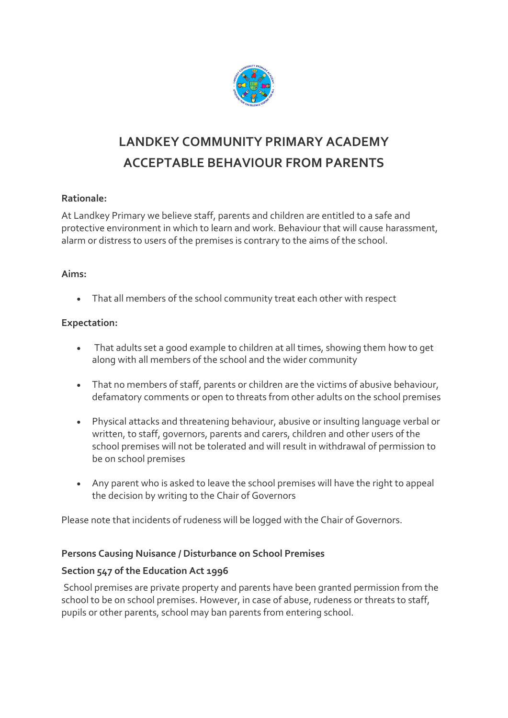

# **LANDKEY COMMUNITY PRIMARY ACADEMY ACCEPTABLE BEHAVIOUR FROM PARENTS**

## **Rationale:**

At Landkey Primary we believe staff, parents and children are entitled to a safe and protective environment in which to learn and work. Behaviour that will cause harassment, alarm or distress to users of the premises is contrary to the aims of the school.

## **Aims:**

That all members of the school community treat each other with respect

# **Expectation:**

- That adults set a good example to children at all times, showing them how to get along with all members of the school and the wider community
- That no members of staff, parents or children are the victims of abusive behaviour, defamatory comments or open to threats from other adults on the school premises
- Physical attacks and threatening behaviour, abusive or insulting language verbal or written, to staff, governors, parents and carers, children and other users of the school premises will not be tolerated and will result in withdrawal of permission to be on school premises
- Any parent who is asked to leave the school premises will have the right to appeal the decision by writing to the Chair of Governors

Please note that incidents of rudeness will be logged with the Chair of Governors.

## **Persons Causing Nuisance / Disturbance on School Premises**

## **Section 547 of the Education Act 1996**

School premises are private property and parents have been granted permission from the school to be on school premises. However, in case of abuse, rudeness or threats to staff, pupils or other parents, school may ban parents from entering school.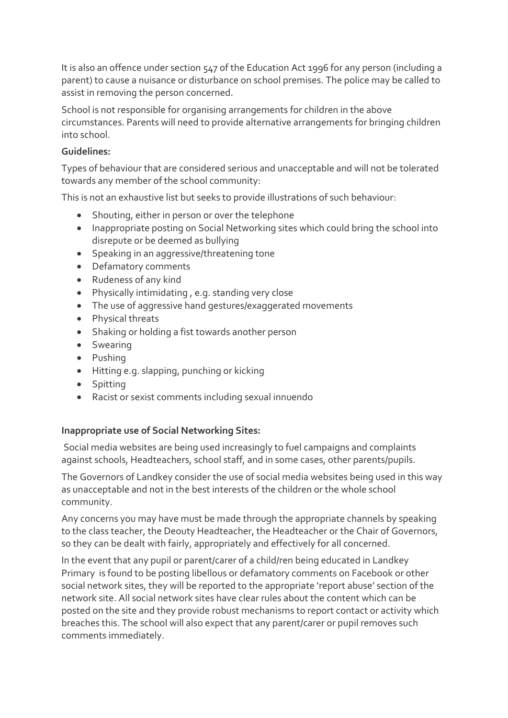It is also an offence under section 547 of the Education Act 1996 for any person (including a parent) to cause a nuisance or disturbance on school premises. The police may be called to assist in removing the person concerned.

School is not responsible for organising arrangements for children in the above circumstances. Parents will need to provide alternative arrangements for bringing children into school.

## **Guidelines:**

Types of behaviour that are considered serious and unacceptable and will not be tolerated towards any member of the school community:

This is not an exhaustive list but seeks to provide illustrations of such behaviour:

- Shouting, either in person or over the telephone
- Inappropriate posting on Social Networking sites which could bring the school into disrepute or be deemed as bullying
- Speaking in an aggressive/threatening tone
- Defamatory comments
- Rudeness of any kind
- Physically intimidating , e.g. standing very close
- The use of aggressive hand gestures/exaggerated movements
- Physical threats
- Shaking or holding a fist towards another person
- Swearing
- Pushing
- Hitting e.g. slapping, punching or kicking
- Spitting
- Racist or sexist comments including sexual innuendo

#### **Inappropriate use of Social Networking Sites:**

Social media websites are being used increasingly to fuel campaigns and complaints against schools, Headteachers, school staff, and in some cases, other parents/pupils.

The Governors of Landkey consider the use of social media websites being used in this way as unacceptable and not in the best interests of the children or the whole school community.

Any concerns you may have must be made through the appropriate channels by speaking to the class teacher, the Deouty Headteacher, the Headteacher or the Chair of Governors, so they can be dealt with fairly, appropriately and effectively for all concerned.

In the event that any pupil or parent/carer of a child/ren being educated in Landkey Primary is found to be posting libellous or defamatory comments on Facebook or other social network sites, they will be reported to the appropriate 'report abuse' section of the network site. All social network sites have clear rules about the content which can be posted on the site and they provide robust mechanisms to report contact or activity which breaches this. The school will also expect that any parent/carer or pupil removes such comments immediately.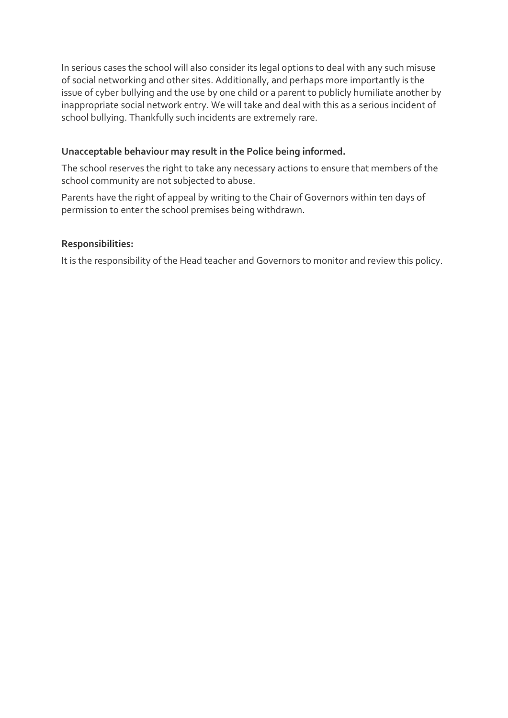In serious cases the school will also consider its legal options to deal with any such misuse of social networking and other sites. Additionally, and perhaps more importantly is the issue of cyber bullying and the use by one child or a parent to publicly humiliate another by inappropriate social network entry. We will take and deal with this as a serious incident of school bullying. Thankfully such incidents are extremely rare.

## **Unacceptable behaviour may result in the Police being informed.**

The school reserves the right to take any necessary actions to ensure that members of the school community are not subjected to abuse.

Parents have the right of appeal by writing to the Chair of Governors within ten days of permission to enter the school premises being withdrawn.

## **Responsibilities:**

It is the responsibility of the Head teacher and Governors to monitor and review this policy.